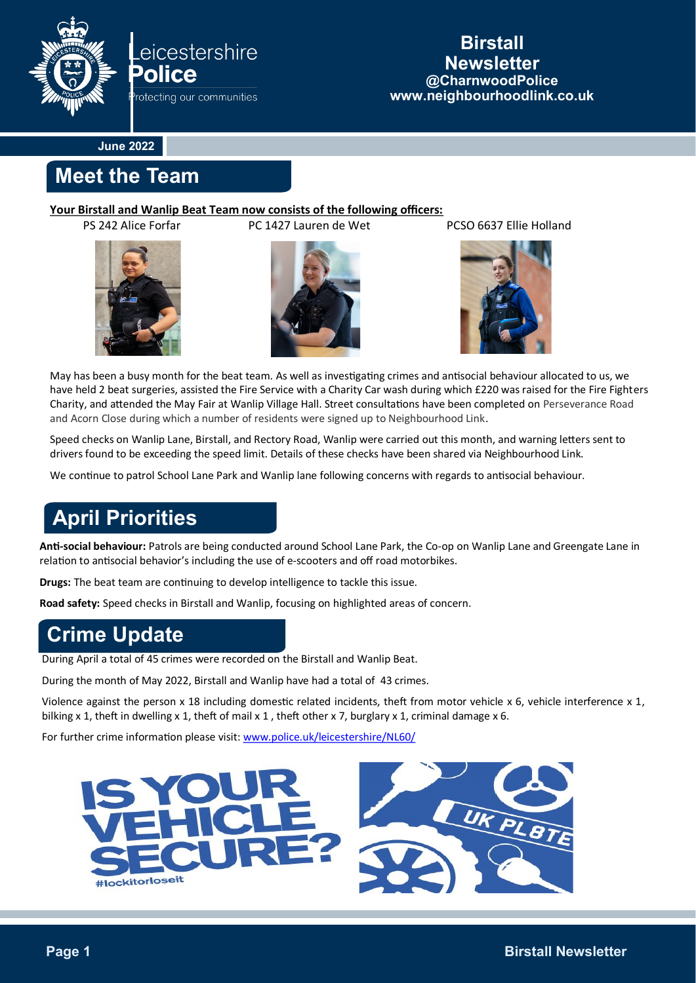

### **Birstall Newsletter @CharnwoodPolice www.neighbourhoodlink.co.uk**

**June 2022**

## **Meet the Team**

#### **Your Birstall and Wanlip Beat Team now consists of the following officers:**





PS 242 Alice Forfar PC 1427 Lauren de Wet PCSO 6637 Ellie Holland



May has been a busy month for the beat team. As well as investigating crimes and antisocial behaviour allocated to us, we have held 2 beat surgeries, assisted the Fire Service with a Charity Car wash during which £220 was raised for the Fire Fighters Charity, and attended the May Fair at Wanlip Village Hall. Street consultations have been completed on Perseverance Road and Acorn Close during which a number of residents were signed up to Neighbourhood Link.

Speed checks on Wanlip Lane, Birstall, and Rectory Road, Wanlip were carried out this month, and warning letters sent to drivers found to be exceeding the speed limit. Details of these checks have been shared via Neighbourhood Link.

We continue to patrol School Lane Park and Wanlip lane following concerns with regards to antisocial behaviour.

# **April Priorities**

**Anti-social behaviour:** Patrols are being conducted around School Lane Park, the Co-op on Wanlip Lane and Greengate Lane in relation to antisocial behavior's including the use of e-scooters and off road motorbikes.

**Drugs:** The beat team are continuing to develop intelligence to tackle this issue.

**Road safety:** Speed checks in Birstall and Wanlip, focusing on highlighted areas of concern.

# **Crime Update**

During April a total of 45 crimes were recorded on the Birstall and Wanlip Beat.

During the month of May 2022, Birstall and Wanlip have had a total of 43 crimes.

Violence against the person x 18 including domestic related incidents, theft from motor vehicle x 6, vehicle interference x 1, bilking x 1, theft in dwelling x 1, theft of mail x 1, theft other x 7, burglary x 1, criminal damage x 6.

For further crime information please visit: [www.police.uk/leicestershire/NL60/](http://www.police.uk/leicestershire/NL60/)